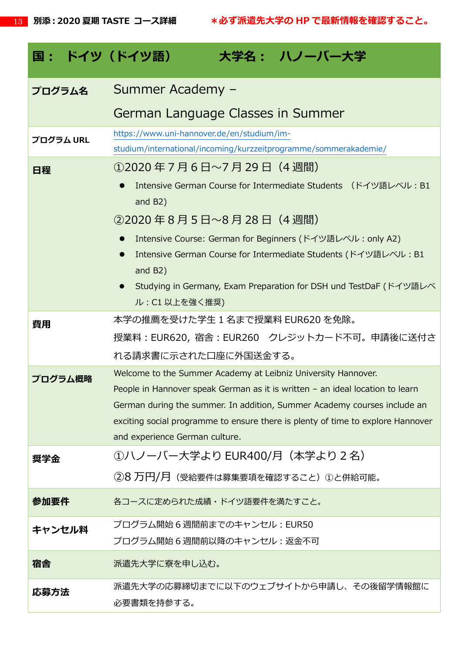| 国: ドイツ(ドイツ語) | 大学名: ハノーバー大学                                                                                                                                                                                                                                                                                                                                                    |  |  |
|--------------|-----------------------------------------------------------------------------------------------------------------------------------------------------------------------------------------------------------------------------------------------------------------------------------------------------------------------------------------------------------------|--|--|
| プログラム名       | Summer Academy -                                                                                                                                                                                                                                                                                                                                                |  |  |
|              | German Language Classes in Summer                                                                                                                                                                                                                                                                                                                               |  |  |
| プログラム URL    | https://www.uni-hannover.de/en/studium/im-<br>studium/international/incoming/kurzzeitprogramme/sommerakademie/                                                                                                                                                                                                                                                  |  |  |
| 日程           | ①2020年7月6日~7月29日(4週間)<br>Intensive German Course for Intermediate Students (ドイツ語レベル: B1<br>and B2)<br>②2020年8月5日~8月28日 (4週間)<br>Intensive Course: German for Beginners (ドイツ語レベル: only A2)<br>Intensive German Course for Intermediate Students (ドイツ語レベル: B1<br>and $B2)$<br>Studying in Germany, Exam Preparation for DSH und TestDaF (ドイツ語レベ<br>ル: C1 以上を強く推奨) |  |  |
| 費用           | 本学の推薦を受けた学生 1 名まで授業料 EUR620 を免除。<br>授業料:EUR620,宿舎:EUR260 クレジットカード不可。申請後に送付さ<br>れる請求書に示された口座に外国送金する。                                                                                                                                                                                                                                                             |  |  |
| プログラム概略      | Welcome to the Summer Academy at Leibniz University Hannover.<br>People in Hannover speak German as it is written - an ideal location to learn<br>German during the summer. In addition, Summer Academy courses include an<br>exciting social programme to ensure there is plenty of time to explore Hannover<br>and experience German culture.                 |  |  |
| 奨学金          | ①ハノーバー大学より EUR400/月(本学より 2 名)<br>②8 万円/月(受給要件は募集要項を確認すること)①と併給可能。                                                                                                                                                                                                                                                                                               |  |  |
| 参加要件         | 各コースに定められた成績・ドイツ語要件を満たすこと。                                                                                                                                                                                                                                                                                                                                      |  |  |
| キャンセル料       | プログラム開始6週間前までのキャンセル : EUR50<br>プログラム開始6週間前以降のキャンセル : 返金不可                                                                                                                                                                                                                                                                                                       |  |  |
| 宿舎           | 派遣先大学に寮を申し込む。                                                                                                                                                                                                                                                                                                                                                   |  |  |
| 応募方法         | 派遣先大学の応募締切までに以下のウェブサイトから申請し、その後留学情報館に<br>必要書類を持参する。                                                                                                                                                                                                                                                                                                             |  |  |